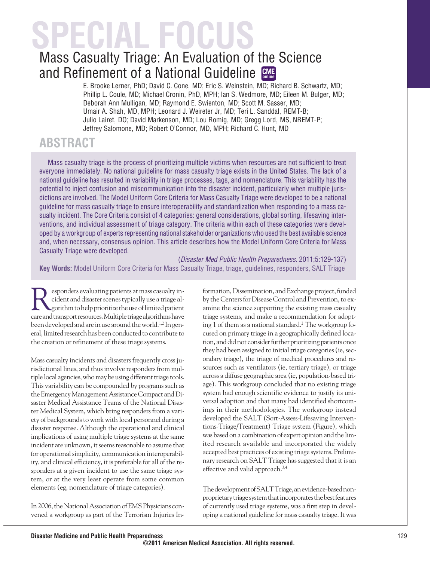# **SPECIAL FOCUS**

# Mass Casualty Triage: An Evaluation of the Science and Refinement of a National Guideline **CME**

E. Brooke Lerner, PhD; David C. Cone, MD; Eric S. Weinstein, MD; Richard B. Schwartz, MD; Phillip L. Coule, MD; Michael Cronin, PhD, MPH; Ian S. Wedmore, MD; Eileen M. Bulger, MD; Deborah Ann Mulligan, MD; Raymond E. Swienton, MD; Scott M. Sasser, MD; Umair A. Shah, MD, MPH; Leonard J. Weireter Jr, MD; Teri L. Sanddal, REMT-B; Julio Lairet, DO; David Markenson, MD; Lou Romig, MD; Gregg Lord, MS, NREMT-P; Jeffrey Salomone, MD; Robert O'Connor, MD, MPH; Richard C. Hunt, MD

# **ABSTRACT**

Mass casualty triage is the process of prioritizing multiple victims when resources are not sufficient to treat everyone immediately. No national guideline for mass casualty triage exists in the United States. The lack of a national guideline has resulted in variability in triage processes, tags, and nomenclature. This variability has the potential to inject confusion and miscommunication into the disaster incident, particularly when multiple jurisdictions are involved. The Model Uniform Core Criteria for Mass Casualty Triage were developed to be a national guideline for mass casualty triage to ensure interoperability and standardization when responding to a mass casualty incident. The Core Criteria consist of 4 categories: general considerations, global sorting, lifesaving interventions, and individual assessment of triage category. The criteria within each of these categories were developed by a workgroup of experts representing national stakeholder organizations who used the best available science and, when necessary, consensus opinion. This article describes how the Model Uniform Core Criteria for Mass Casualty Triage were developed.

(*Disaster Med Public Health Preparedness.* 2011;5:129-137) **Key Words:** Model Uniform Core Criteria for Mass Casualty Triage, triage, guidelines, responders, SALT Triage

Franchise evaluating patients at mass casualty increased and disaster scenes typically use a triage algorithm to help prioritize the use of limited patient cident and disaster scenes typically use a triage alcare and transport resources. Multiple triage algorithms have been developed and are in use around the world.<sup>1,2</sup> In general, limited research has been conducted to contribute to the creation or refinement of these triage systems.

Mass casualty incidents and disasters frequently cross jurisdictional lines, and thus involve responders from multiple local agencies, who may be using different triage tools. This variability can be compounded by programs such as the Emergency Management Assistance Compact and Disaster Medical Assistance Teams of the National Disaster Medical System, which bring responders from a variety of backgrounds to work with local personnel during a disaster response. Although the operational and clinical implications of using multiple triage systems at the same incident are unknown, it seems reasonable to assume that for operational simplicity, communication interoperability, and clinical efficiency, it is preferable for all of the responders at a given incident to use the same triage system, or at the very least operate from some common elements (eg, nomenclature of triage categories).

In 2006, the National Association of EMS Physicians convened a workgroup as part of the Terrorism Injuries Information, Dissemination, and Exchange project, funded by the Centers for Disease Control and Prevention, to examine the science supporting the existing mass casualty triage systems, and make a recommendation for adopting 1 of them as a national standard.<sup>2</sup> The workgroup focused on primary triage in a geographically defined location, and did not consider further prioritizing patients once they had been assigned to initial triage categories (ie, secondary triage), the triage of medical procedures and resources such as ventilators (ie, tertiary triage), or triage across a diffuse geographic area (ie, population-based triage). This workgroup concluded that no existing triage system had enough scientific evidence to justify its universal adoption and that many had identified shortcomings in their methodologies. The workgroup instead developed the SALT (Sort-Assess-Lifesaving Interventions-Triage/Treatment) Triage system (Figure), which was based on a combination of expert opinion and the limited research available and incorporated the widely accepted best practices of existing triage systems. Preliminary research on SALT Triage has suggested that it is an effective and valid approach.<sup>3,4</sup>

ThedevelopmentofSALTTriage,anevidence-basednonproprietary triage system that incorporates the best features of currently used triage systems, was a first step in developing a national guideline for mass casualty triage. It was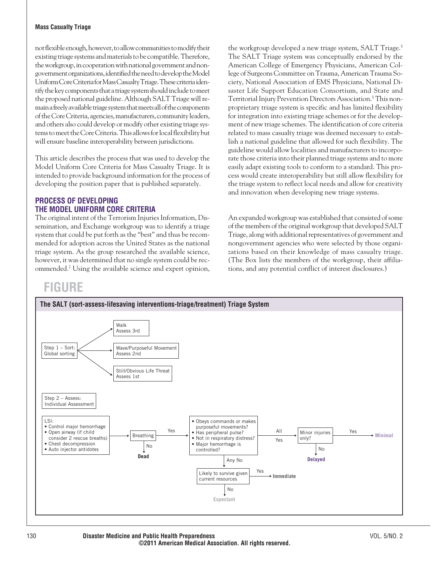#### **Mass Casualty Triage**

not flexible enough, however, to allow communities to modify their existing triage systems and materials to be compatible.Therefore, the workgroup, in cooperation with national government and nongovernment organizations, identified the need to develop the Model UniformCoreCriteriaforMassCasualtyTriage.Thesecriteriaidentify the key components that a triage system should include to meet the proposed national guideline. Although SALT Triage will remain a freely available triage system that meets all of the components of theCoreCriteria, agencies,manufacturers, communityleaders, and others also could develop or modify other existing triage systems to meet the Core Criteria. This allows for local flexibility but will ensure baseline interoperability between jurisdictions.

This article describes the process that was used to develop the Model Uniform Core Criteria for Mass Casualty Triage. It is intended to provide background information for the process of developing the position paper that is published separately.

### **PROCESS OF DEVELOPING THE MODEL UNIFORM CORE CRITERIA**

The original intent of the Terrorism Injuries Information, Dissemination, and Exchange workgroup was to identify a triage system that could be put forth as the "best" and thus be recommended for adoption across the United States as the national triage system. As the group researched the available science, however, it was determined that no single system could be recommended.2 Using the available science and expert opinion,

#### the workgroup developed a new triage system, SALT Triage.<sup>5</sup> The SALT Triage system was conceptually endorsed by the American College of Emergency Physicians, American College of Surgeons Committee on Trauma, American Trauma Society, National Association of EMS Physicians, National Disaster Life Support Education Consortium, and State and Territorial Injury Prevention Directors Association.<sup>5</sup> This nonproprietary triage system is specific and has limited flexibility for integration into existing triage schemes or for the development of new triage schemes. The identification of core criteria related to mass casualty triage was deemed necessary to establish a national guideline that allowed for such flexibility. The guideline would allow localities and manufacturers to incorporate those criteria into their planned triage systems and to more easily adapt existing tools to conform to a standard. This process would create interoperability but still allow flexibility for the triage system to reflect local needs and allow for creativity and innovation when developing new triage systems.

An expanded workgroup was established that consisted of some of the members of the original workgroup that developed SALT Triage, along with additional representatives of government and nongovernment agencies who were selected by those organizations based on their knowledge of mass casualty triage. (The Box lists the members of the workgroup, their affiliations, and any potential conflict of interest disclosures.)

# **FIGURE**

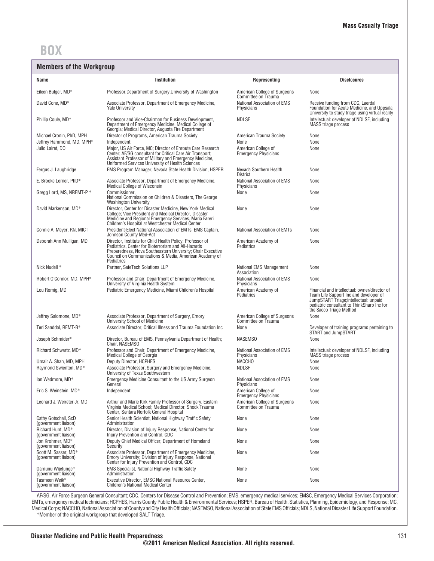# **BOX**

### **Members of the Workgroup**

| Name                                                  | Institution                                                                                                                                                                                                                                             | Representing                                                            | <b>Disclosures</b>                                                                                                                                                                                         |
|-------------------------------------------------------|---------------------------------------------------------------------------------------------------------------------------------------------------------------------------------------------------------------------------------------------------------|-------------------------------------------------------------------------|------------------------------------------------------------------------------------------------------------------------------------------------------------------------------------------------------------|
| Eileen Bulger, MD*                                    | Professor, Department of Surgery, University of Washington                                                                                                                                                                                              | American College of Surgeons<br>Committee on Trauma                     | None                                                                                                                                                                                                       |
| David Cone, MD*                                       | Associate Professor, Department of Emergency Medicine,<br><b>Yale University</b>                                                                                                                                                                        | National Association of EMS<br>Physicians                               | Receive funding from CDC, Laerdal<br>Foundation for Acute Medicine, and Uppsala<br>University to study triage using virtual reality                                                                        |
| Phillip Coule, MD*                                    | Professor and Vice-Chairman for Business Development,<br>Department of Emergency Medicine, Medical College of<br>Georgia: Medical Director, Augusta Fire Department                                                                                     | <b>NDLSF</b>                                                            | Intellectual: developer of NDLSF, including<br><b>MASS triage process</b>                                                                                                                                  |
| Michael Cronin, PhD, MPH<br>Jeffrey Hammond, MD, MPH* | Director of Programs, American Trauma Society<br>Independent                                                                                                                                                                                            | American Trauma Society<br>None                                         | None<br>None                                                                                                                                                                                               |
| Julio Lairet, DO                                      | Major, US Air Force, MC; Director of Enroute Care Research<br>Center; AF/SG consultant for Critical Care Air Transport;<br>Assistant Professor of Military and Emergency Medicine,<br>Uniformed Services University of Health Sciences                  | American College of<br><b>Emergency Physicians</b>                      | None                                                                                                                                                                                                       |
| Fergus J. Laughridge                                  | EMS Program Manager, Nevada State Health Division, HSPER                                                                                                                                                                                                | Nevada Southern Health<br>District                                      | None                                                                                                                                                                                                       |
| E. Brooke Lerner, PhD*                                | Associate Professor, Department of Emergency Medicine,<br><b>Medical College of Wisconsin</b>                                                                                                                                                           | National Association of EMS<br>Physicians                               | None                                                                                                                                                                                                       |
| Gregg Lord, MS, NREMT-P *                             | Commissioner,<br>National Commission on Children & Disasters. The George<br><b>Washington University</b>                                                                                                                                                | None                                                                    | None                                                                                                                                                                                                       |
| David Markenson, MD*                                  | Director, Center for Disaster Medicine, New York Medical<br>College; Vice President and Medical Director, Disaster<br>Medicine and Regional Emergency Services, Maria Fareri<br>Children's Hospital at Westchester Medical Center                       | None                                                                    | None                                                                                                                                                                                                       |
| Connie A. Meyer, RN, MICT                             | President-Elect National Association of EMTs: EMS Captain,<br>Johnson County Med-Act                                                                                                                                                                    | National Association of EMTs                                            | None                                                                                                                                                                                                       |
| Deborah Ann Mulligan, MD                              | Director, Institute for Child Health Policy; Professor of<br>Pediatrics, Center for Bioterrorism and All-Hazards<br>Preparedness, Nova Southeastern University; Chair Executive<br>Council on Communications & Media, American Academy of<br>Pediatrics | American Academy of<br>Pediatrics                                       | None                                                                                                                                                                                                       |
| Nick Nudell *                                         | Partner, SafeTech Solutions LLP                                                                                                                                                                                                                         | <b>National EMS Management</b><br>Association                           | None                                                                                                                                                                                                       |
| Robert O'Connor, MD, MPH*                             | Professor and Chair, Department of Emergency Medicine,<br>University of Virginia Health System                                                                                                                                                          | National Association of EMS<br>Physicians                               | None                                                                                                                                                                                                       |
| Lou Romig, MD                                         | Pediatric Emergency Medicine, Miami Children's Hospital                                                                                                                                                                                                 | American Academy of<br>Pediatrics                                       | Financial and intellectual: owner/director of<br>Team Life Support Inc and developer of<br>JumpSTART Triage; intellectual: unpaid<br>pediatric consultant to ThinkSharp Inc for<br>the Sacco Triage Method |
| Jeffrey Salomone, MD*                                 | Associate Professor, Department of Surgery, Emory<br>University School of Medicine                                                                                                                                                                      | American College of Surgeons<br>Committee on Trauma                     | None                                                                                                                                                                                                       |
| Teri Sanddal, REMT-B*                                 | Associate Director, Critical Illness and Trauma Foundation Inc                                                                                                                                                                                          | None                                                                    | Developer of training programs pertaining to<br>START and JumpSTART                                                                                                                                        |
| Joseph Schmider*                                      | Director, Bureau of EMS, Pennsylvania Department of Health;<br>Chair, NASEMSO                                                                                                                                                                           | NASEMS <sub>0</sub>                                                     | None                                                                                                                                                                                                       |
| Richard Schwartz, MD*                                 | Professor and Chair, Department of Emergency Medicine,<br>Medical College of Georgia                                                                                                                                                                    | National Association of EMS<br>Physicians                               | Intellectual: developer of NDLSF, including<br>MASS triage process                                                                                                                                         |
| Umair A. Shah, MD, MPH<br>Raymond Swienton, MD*       | Deputy Director, HCPHES<br>Associate Professor, Surgery and Emergency Medicine,                                                                                                                                                                         | <b>NACCHO</b><br><b>NDLSF</b>                                           | None<br>None                                                                                                                                                                                               |
| lan Wedmore, MD*                                      | University of Texas Southwestern<br>Emergency Medicine Consultant to the US Army Surgeon                                                                                                                                                                | National Association of EMS                                             | None                                                                                                                                                                                                       |
| Eric S. Weinstein, MD*                                | General<br>Independent                                                                                                                                                                                                                                  | <b>Physicians</b><br>American College of<br><b>Emergency Physicians</b> | None                                                                                                                                                                                                       |
| Leonard J. Weireter Jr, MD                            | Arthur and Marie Kirk Family Professor of Surgery, Eastern<br>Virginia Medical School; Medical Director, Shock Trauma<br>Center, Sentara Norfolk General Hospital                                                                                       | American College of Surgeons<br>Committee on Trauma                     | None                                                                                                                                                                                                       |
| Cathy Gotschall, ScD<br>(government liaison)          | Senior Health Scientist, National Highway Traffic Safety<br>Administration                                                                                                                                                                              | None                                                                    | None                                                                                                                                                                                                       |
| Richard Hunt, MD*<br>(government liaison)             | Director, Division of Injury Response, National Center for<br>Injury Prevention and Control, CDC                                                                                                                                                        | None                                                                    | None                                                                                                                                                                                                       |
| Jon Krohmer, MD*<br>(government liaison)              | Deputy Chief Medical Officer, Department of Homeland<br>Security                                                                                                                                                                                        | None                                                                    | None                                                                                                                                                                                                       |
| Scott M. Sasser, MD*<br>(government liaison)          | Associate Professor, Department of Emergency Medicine,<br>Emory University; Division of Injury Response, National<br>Center for Injury Prevention and Control, CDC                                                                                      | None                                                                    | None                                                                                                                                                                                                       |
| Gamunu Wijetunge*<br>(government liaison)             | <b>EMS Specialist, National Highway Traffic Safety</b><br>Administration                                                                                                                                                                                | None                                                                    | None                                                                                                                                                                                                       |
| Tasmeen Weik*<br>(government liaison)                 | Executive Director, EMSC National Resource Center,<br><b>Children's National Medical Center</b>                                                                                                                                                         | None                                                                    | None                                                                                                                                                                                                       |

AF/SG, Air Force Surgeon General Consultant; CDC, Centers for Disease Control and Prevention; EMS, emergency medical services; EMSC, Emergency Medical Services Corporation; EMTs, emergency medical technicians; HCPHES, Harris County Public Health & Environmental Services; HSPER, Bureau of Health, Statistics, Planning, Epidemiology, and Response; MC, Medical Corps; NACCHO, National Association of County and City Health Officials; NASEMSO, National Association of State EMS Officials; NDLS, National Disaster Life Support Foundation. \*Member of the original workgroup that developed SALT Triage.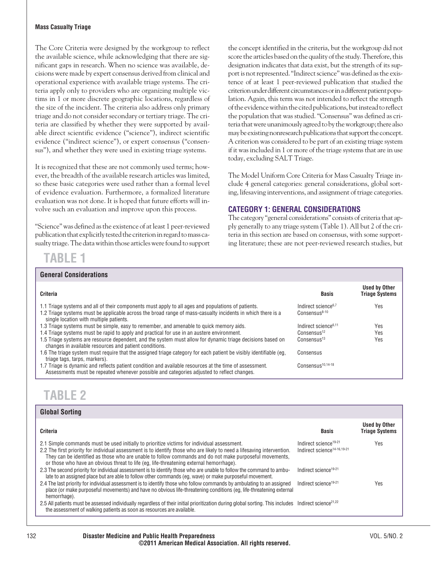#### **Mass Casualty Triage**

The Core Criteria were designed by the workgroup to reflect the available science, while acknowledging that there are significant gaps in research. When no science was available, decisions were made by expert consensus derived from clinical and operational experience with available triage systems. The criteria apply only to providers who are organizing multiple victims in 1 or more discrete geographic locations, regardless of the size of the incident. The criteria also address only primary triage and do not consider secondary or tertiary triage. The criteria are classified by whether they were supported by available direct scientific evidence ("science"), indirect scientific evidence ("indirect science"), or expert consensus ("consensus"), and whether they were used in existing triage systems.

It is recognized that these are not commonly used terms; however, the breadth of the available research articles was limited, so these basic categories were used rather than a formal level of evidence evaluation. Furthermore, a formalized literature evaluation was not done. It is hoped that future efforts will involve such an evaluation and improve upon this process.

"Science" was defined as the existence of at least 1 peer-reviewed publication that explicitly tested the criterion in regard to mass casualty triage. The data within those articles were found to support the concept identified in the criteria, but the workgroup did not score the articles based on the quality of the study. Therefore, this designation indicates that data exist, but the strength of its support is not represented. "Indirect science" was defined as the existence of at least 1 peer-reviewed publication that studied the criterion under different circumstances or in a different patient population. Again, this term was not intended to reflect the strength of the evidence within the cited publications, but instead to reflect the population that was studied. "Consensus" was defined as criteria that were unanimously agreed to by the workgroup; there also may be existing nonresearch publications that support the concept. A criterion was considered to be part of an existing triage system if it was included in 1 or more of the triage systems that are in use today, excluding SALT Triage.

The Model Uniform Core Criteria for Mass Casualty Triage include 4 general categories: general considerations, global sorting, lifesaving interventions, and assignment of triage categories.

### **CATEGORY 1: GENERAL CONSIDERATIONS**

The category "general considerations" consists of criteria that apply generally to any triage system (Table 1). All but 2 of the criteria in this section are based on consensus, with some supporting literature; these are not peer-reviewed research studies, but

## **TABLE 1**

| <b>General Considerations</b>                                                                                                                                                                                                                                |                                                     |                                               |
|--------------------------------------------------------------------------------------------------------------------------------------------------------------------------------------------------------------------------------------------------------------|-----------------------------------------------------|-----------------------------------------------|
| Criteria                                                                                                                                                                                                                                                     | <b>Basis</b>                                        | <b>Used by Other</b><br><b>Triage Systems</b> |
| 1.1 Triage systems and all of their components must apply to all ages and populations of patients.<br>1.2 Triage systems must be applicable across the broad range of mass-casualty incidents in which there is a<br>single location with multiple patients. | Indirect science $6,7$<br>Consensus <sup>8-10</sup> | Yes                                           |
| 1.3 Triage systems must be simple, easy to remember, and amenable to quick memory aids.                                                                                                                                                                      | Indirect science <sup>6,11</sup>                    | Yes                                           |
| 1.4 Triage systems must be rapid to apply and practical for use in an austere environment.                                                                                                                                                                   | Consensus <sup>12</sup>                             | Yes                                           |
| 1.5 Triage systems are resource dependent, and the system must allow for dynamic triage decisions based on<br>changes in available resources and patient conditions.                                                                                         | Consensus <sup>13</sup>                             | Yes                                           |
| 1.6 The triage system must require that the assigned triage category for each patient be visibly identifiable (eq.<br>triage tags, tarps, markers).                                                                                                          | Consensus                                           |                                               |
| 1.7 Triage is dynamic and reflects patient condition and available resources at the time of assessment.<br>Assessments must be repeated whenever possible and categories adjusted to reflect changes.                                                        | Consensus <sup>10,14-18</sup>                       |                                               |

# **TABLE 2**

| <b>Global Sorting</b>                                                                                                                                                                                                                                                                                                         |                                         |                                               |
|-------------------------------------------------------------------------------------------------------------------------------------------------------------------------------------------------------------------------------------------------------------------------------------------------------------------------------|-----------------------------------------|-----------------------------------------------|
| Criteria                                                                                                                                                                                                                                                                                                                      | <b>Basis</b>                            | <b>Used by Other</b><br><b>Triage Systems</b> |
| 2.1 Simple commands must be used initially to prioritize victims for individual assessment.                                                                                                                                                                                                                                   | Indirect science <sup>19-21</sup>       | Yes                                           |
| 2.2 The first priority for individual assessment is to identify those who are likely to need a lifesaving intervention.<br>They can be identified as those who are unable to follow commands and do not make purposeful movements,<br>or those who have an obvious threat to life (eq. life-threatening external hemorrhage). | Indirect science <sup>14-16,19-21</sup> |                                               |
| 2.3 The second priority for individual assessment is to identify those who are unable to follow the command to ambu-<br>late to an assigned place but are able to follow other commands (eg, wave) or make purposeful movement.                                                                                               | Indirect science <sup>19-21</sup>       |                                               |
| 2.4 The last priority for individual assessment is to identify those who follow commands by ambulating to an assigned<br>place (or make purposeful movements) and have no obvious life-threatening conditions (eq. life-threatening external<br>hemorrhage).                                                                  | Indirect science <sup>19-21</sup>       | Yes                                           |
| 2.5 All patients must be assessed individually regardless of their initial prioritization during global sorting. This includes Indirect science <sup>21,22</sup><br>the assessment of walking patients as soon as resources are available.                                                                                    |                                         |                                               |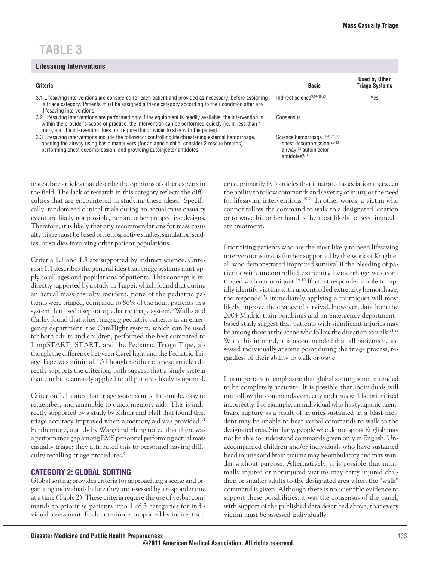# **TABLE 3**

#### **Lifesaving Interventions**

| Criteria                                                                                                                                                                                                                                                                                                   | <b>Basis</b>                                                                                                             | <b>Used by Other</b><br><b>Triage Systems</b> |
|------------------------------------------------------------------------------------------------------------------------------------------------------------------------------------------------------------------------------------------------------------------------------------------------------------|--------------------------------------------------------------------------------------------------------------------------|-----------------------------------------------|
| 3.1 Lifesaving interventions are considered for each patient and provided as necessary, before assigning<br>a triage category. Patients must be assigned a triage category according to their condition after any<br>lifesaving interventions.                                                             | Indirect science <sup>9,14-16,23</sup>                                                                                   | Yes                                           |
| 3.2 Lifesaving interventions are performed only if the equipment is readily available, the intervention is<br>within the provider's scope of practice, the intervention can be performed quickly (ie, in less than 1<br>min), and the intervention does not require the provider to stay with the patient. | Consensus                                                                                                                |                                               |
| 3.3 Lifesaving interventions include the following: controlling life-threatening external hemorrhage,<br>opening the airway using basic maneuvers (for an apneic child, consider 2 rescue breaths),<br>performing chest decompression, and providing autoinjector antidotes.                               | Science:hemorrhage, 14-16, 23-27<br>chest decompression, 28-30<br>airway, <sup>23</sup> autoinjector<br>antidotes $9,31$ |                                               |

instead are articles that describe the opinions of other experts in the field. The lack of research in this category reflects the difficulties that are encountered in studying these ideas.<sup>8</sup> Specifically, randomized clinical trials during an actual mass casualty event are likely not possible, nor are other prospective designs. Therefore, it is likely that any recommendations for mass casualty triage must be based on retrospective studies, simulation studies, or studies involving other patient populations.

Criteria 1.1 and 1.3 are supported by indirect science. Criterion 1.1 describes the general idea that triage systems must apply to all ages and populations of patients. This concept is indirectly supported by a study in Taipei, which found that during an actual mass casualty incident, none of the pediatric patients were triaged, compared to 86% of the adult patients in a system that used a separate pediatric triage system.<sup>6</sup> Wallis and Carley found that when triaging pediatric patients in an emergency department, the CareFlight system, which can be used for both adults and children, performed the best compared to JumpSTART, START, and the Pediatric Triage Tape, although the difference between CareFlight and the Pediatric Triage Tape was minimal.7 Although neither of these articles directly supports the criterion, both suggest that a single system that can be accurately applied to all patients likely is optimal.

Criterion 1.3 states that triage systems must be simple, easy to remember, and amenable to quick memory aids. This is indirectly supported by a study by Kilner and Hall that found that triage accuracy improved when a memory aid was provided.<sup>11</sup> Furthermore, a study by Wang and Hung noted that there was a performance gap among EMS personnel performing actual mass casualty triage; they attributed this to personnel having difficulty recalling triage procedures.6

### **CATEGORY 2: GLOBAL SORTING**

Global sorting provides criteria for approaching a scene and organizing individuals before they are assessed by a responder one at a time (Table 2). These criteria require the use of verbal commands to prioritize patients into 1 of 3 categories for individual assessment. Each criterion is supported by indirect science, primarily by 3 articles that illustrated associations between the ability to follow commands and severity of injury or the need for lifesaving interventions.19-21 In other words, a victim who cannot follow the command to walk to a designated location or to wave his or her hand is the most likely to need immediate treatment.

Prioritizing patients who are the most likely to need lifesaving interventions first is further supported by the work of Kragh et al, who demonstrated improved survival if the bleeding of patients with uncontrolled extremity hemorrhage was controlled with a tourniquet.<sup>14-16</sup> If a first responder is able to rapidly identify victims with uncontrolled extremity hemorrhage, the responder's immediately applying a tourniquet will most likely improve the chance of survival. However, data from the 2004 Madrid train bombings and an emergency department– based study suggest that patients with significant injuries may be among those at the scene who follow the direction to walk.<sup>21,22</sup> With this in mind, it is recommended that all patients be assessed individually at some point during the triage process, regardless of their ability to walk or wave.

It is important to emphasize that global sorting is not intended to be completely accurate. It is possible that individuals will not follow the commands correctly and thus will be prioritized incorrectly. For example, an individual who has tympanic membrane rupture as a result of injuries sustained in a blast incident may be unable to hear verbal commands to walk to the designated area. Similarly, people who do not speak English may not be able to understand commands given only in English. Unaccompanied children and/or individuals who have sustained head injuries and brain trauma may be ambulatory and may wander without purpose. Alternatively, it is possible that minimally injured or noninjured victims may carry injured children or smaller adults to the designated area when the "walk" command is given. Although there is no scientific evidence to support these possibilities, it was the consensus of the panel, with support of the published data described above, that every victim must be assessed individually.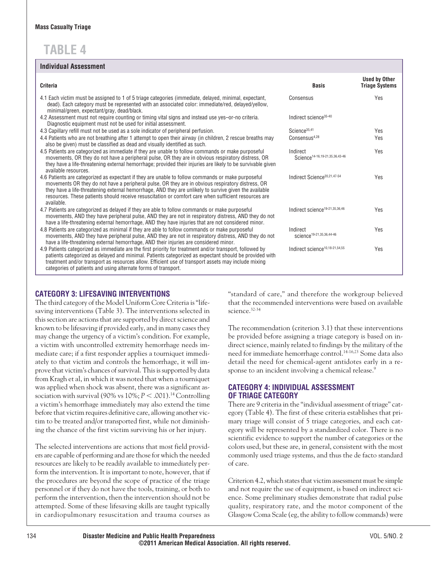# **TABLE 4**

#### **Individual Assessment**

| <b>Criteria</b>                                                                                                                                                                                                                                                                                                                                                                                                                         | <b>Basis</b>                                           | <b>USED BY UTHER</b><br><b>Triage Systems</b> |
|-----------------------------------------------------------------------------------------------------------------------------------------------------------------------------------------------------------------------------------------------------------------------------------------------------------------------------------------------------------------------------------------------------------------------------------------|--------------------------------------------------------|-----------------------------------------------|
| 4.1 Each victim must be assigned to 1 of 5 triage categories (immediate, delayed, minimal, expectant,<br>dead). Each category must be represented with an associated color: immediate/red, delayed/yellow,<br>minimal/green, expectant/gray, dead/black.                                                                                                                                                                                | Consensus                                              | Yes                                           |
| 4.2 Assessment must not require counting or timing vital signs and instead use yes-or-no criteria.<br>Diagnostic equipment must not be used for initial assessment.                                                                                                                                                                                                                                                                     | Indirect science <sup>35-40</sup>                      |                                               |
| 4.3 Capillary refill must not be used as a sole indicator of peripheral perfusion.                                                                                                                                                                                                                                                                                                                                                      | Science <sup>35,41</sup>                               | Yes                                           |
| 4.4 Patients who are not breathing after 1 attempt to open their airway (in children, 2 rescue breaths may<br>also be given) must be classified as dead and visually identified as such.                                                                                                                                                                                                                                                | Consensus <sup>4,28</sup>                              | Yes                                           |
| 4.5 Patients are categorized as immediate if they are unable to follow commands or make purposeful<br>movements, OR they do not have a peripheral pulse, OR they are in obvious respiratory distress, OR<br>they have a life-threatening external hemorrhage; provided their injuries are likely to be survivable given<br>available resources.                                                                                         | Indirect<br>Science <sup>14-16,19-21,35,36,43-46</sup> | Yes                                           |
| 4.6 Patients are categorized as expectant if they are unable to follow commands or make purposeful<br>movements OR they do not have a peripheral pulse, OR they are in obvious respiratory distress, OR<br>they have a life-threatening external hemorrhage, AND they are unlikely to survive given the available<br>resources. These patients should receive resuscitation or comfort care when sufficient resources are<br>available. | Indirect Science <sup>20,21,47-54</sup>                | Yes                                           |
| 4.7 Patients are categorized as delayed if they are able to follow commands or make purposeful<br>movements, AND they have peripheral pulse, AND they are not in respiratory distress, AND they do not<br>have a life-threatening external hemorrhage, AND they have injuries that are not considered minor.                                                                                                                            | Indirect science <sup>19-21,35,36,46</sup>             | Yes                                           |
| 4.8 Patients are categorized as minimal if they are able to follow commands or make purposeful<br>movements, AND they have peripheral pulse, AND they are not in respiratory distress, AND they do not<br>have a life-threatening external hemorrhage, AND their injuries are considered minor.                                                                                                                                         | Indirect<br>science <sup>19-21,35,36,44-46</sup>       | Yes                                           |
| 4.9 Patients categorized as immediate are the first priority for treatment and/or transport, followed by<br>patients categorized as delayed and minimal. Patients categorized as expectant should be provided with<br>treatment and/or transport as resources allow. Efficient use of transport assets may include mixing<br>categories of patients and using alternate forms of transport.                                             | Indirect science <sup>10,18-21,54,55</sup>             | Yes                                           |

### **CATEGORY 3: LIFESAVING INTERVENTIONS**

The third category of the Model Uniform Core Criteria is "lifesaving interventions (Table 3). The interventions selected in this section are actions that are supported by direct science and known to be lifesaving if provided early, and in many cases they may change the urgency of a victim's condition. For example, a victim with uncontrolled extremity hemorrhage needs immediate care; if a first responder applies a tourniquet immediately to that victim and controls the hemorrhage, it will improve that victim's chances of survival. This is supported by data from Kragh et al, in which it was noted that when a tourniquet was applied when shock was absent, there was a significant association with survival (90% vs 10%; *P* < .001).<sup>14</sup> Controlling a victim's hemorrhage immediately may also extend the time before that victim requires definitive care, allowing another victim to be treated and/or transported first, while not diminishing the chance of the first victim surviving his or her injury.

The selected interventions are actions that most field providers are capable of performing and are those for which the needed resources are likely to be readily available to immediately perform the intervention. It is important to note, however, that if the procedures are beyond the scope of practice of the triage personnel or if they do not have the tools, training, or both to perform the intervention, then the intervention should not be attempted. Some of these lifesaving skills are taught typically in cardiopulmonary resuscitation and trauma courses as "standard of care," and therefore the workgroup believed that the recommended interventions were based on available science.<sup>32-34</sup>

The recommendation (criterion 3.1) that these interventions be provided before assigning a triage category is based on indirect science, mainly related to findings by the military of the need for immediate hemorrhage control.14-16,23 Some data also detail the need for chemical-agent antidotes early in a response to an incident involving a chemical release.<sup>9</sup>

### **CATEGORY 4: INDIVIDUAL ASSESSMENT OF TRIAGE CATEGORY**

There are 9 criteria in the "individual assessment of triage" category (Table 4). The first of these criteria establishes that primary triage will consist of 5 triage categories, and each category will be represented by a standardized color. There is no scientific evidence to support the number of categories or the colors used, but these are, in general, consistent with the most commonly used triage systems, and thus the de facto standard of care.

Criterion 4.2, which states that victim assessment must be simple and not require the use of equipment, is based on indirect science. Some preliminary studies demonstrate that radial pulse quality, respiratory rate, and the motor component of the Glasgow Coma Scale (eg, the ability to follow commands) were

**Used by Other**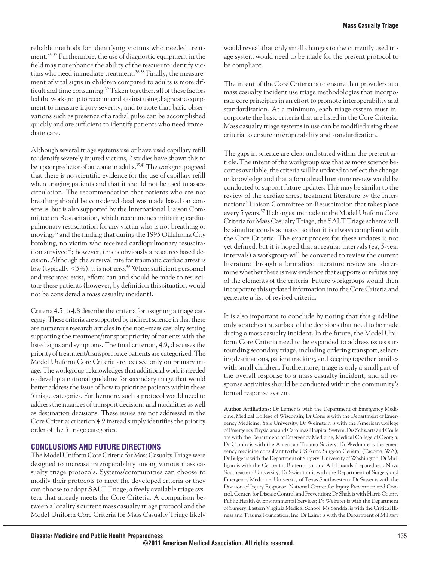reliable methods for identifying victims who needed treatment.<sup>35-37</sup> Furthermore, the use of diagnostic equipment in the field may not enhance the ability of the rescuer to identify victims who need immediate treatment.<sup>36,38</sup> Finally, the measurement of vital signs in children compared to adults is more difficult and time consuming.<sup>39</sup> Taken together, all of these factors led the workgroup to recommend against using diagnostic equipment to measure injury severity, and to note that basic observations such as presence of a radial pulse can be accomplished quickly and are sufficient to identify patients who need immediate care.

Although several triage systems use or have used capillary refill to identify severely injured victims, 2 studies have shown this to be a poor predictor of outcome in adults.<sup>35,41</sup> The workgroup agreed that there is no scientific evidence for the use of capillary refill when triaging patients and that it should not be used to assess circulation. The recommendation that patients who are not breathing should be considered dead was made based on consensus, but is also supported by the International Liaison Committee on Resuscitation, which recommends initiating cardiopulmonary resuscitation for any victim who is not breathing or moving,<sup>33</sup> and the finding that during the 1995 Oklahoma City bombing, no victim who received cardiopulmonary resuscitation survived<sup>42</sup>; however, this is obviously a resource-based decision. Although the survival rate for traumatic cardiac arrest is low (typically  $<$  5%), it is not zero.<sup>56</sup> When sufficient personnel and resources exist, efforts can and should be made to resuscitate these patients (however, by definition this situation would not be considered a mass casualty incident).

Criteria 4.5 to 4.8 describe the criteria for assigning a triage category. These criteria are supported by indirect science in that there are numerous research articles in the non–mass casualty setting supporting the treatment/transport priority of patients with the listed signs and symptoms. The final criterion, 4.9, discusses the priority of treatment/transport once patients are categorized. The Model Uniform Core Criteria are focused only on primary triage. The workgroup acknowledges that additional work is needed to develop a national guideline for secondary triage that would better address the issue of how to prioritize patients within these 5 triage categories. Furthermore, such a protocol would need to address the nuances of transport decisions and modalities as well as destination decisions. These issues are not addressed in the Core Criteria; criterion 4.9 instead simply identifies the priority order of the 5 triage categories.

### **CONCLUSIONS AND FUTURE DIRECTIONS**

The Model Uniform Core Criteria for Mass Casualty Triage were designed to increase interoperability among various mass casualty triage protocols. Systems/communities can choose to modify their protocols to meet the developed criteria or they can choose to adopt SALT Triage, a freely available triage system that already meets the Core Criteria. A comparison between a locality's current mass casualty triage protocol and the Model Uniform Core Criteria for Mass Casualty Triage likely would reveal that only small changes to the currently used triage system would need to be made for the present protocol to be compliant.

The intent of the Core Criteria is to ensure that providers at a mass casualty incident use triage methodologies that incorporate core principles in an effort to promote interoperability and standardization. At a minimum, each triage system must incorporate the basic criteria that are listed in the Core Criteria. Mass casualty triage systems in use can be modified using these criteria to ensure interoperability and standardization.

The gaps in science are clear and stated within the present article. The intent of the workgroup was that as more science becomes available, the criteria will be updated to reflect the change in knowledge and that a formalized literature review would be conducted to support future updates. This may be similar to the review of the cardiac arrest treatment literature by the International Liaison Committee on Resuscitation that takes place every 5 years.57 If changes are made to the Model Uniform Core Criteria for Mass Casualty Triage, the SALT Triage scheme will be simultaneously adjusted so that it is always compliant with the Core Criteria. The exact process for these updates is not yet defined, but it is hoped that at regular intervals (eg, 5-year intervals) a workgroup will be convened to review the current literature through a formalized literature review and determine whether there is new evidence that supports or refutes any of the elements of the criteria. Future workgroups would then incorporate this updated information into the Core Criteria and generate a list of revised criteria.

It is also important to conclude by noting that this guideline only scratches the surface of the decisions that need to be made during a mass casualty incident. In the future, the Model Uniform Core Criteria need to be expanded to address issues surrounding secondary triage, including ordering transport, selecting destinations, patient tracking, and keeping together families with small children. Furthermore, triage is only a small part of the overall response to a mass casualty incident, and all response activities should be conducted within the community's formal response system.

**Author Affiliations:** Dr Lerner is with the Department of Emergency Medicine, Medical College of Wisconsin; Dr Cone is with the Department of Emergency Medicine, Yale University; Dr Weinstein is with the American College of Emergency Physicians and Carolinas Hospital System; Drs Schwartz and Coule are with the Department of Emergency Medicine, Medical College of Georgia; Dr Cronin is with the American Trauma Society; Dr Wedmore is the emergency medicine consultant to the US Army Surgeon General (Tacoma, WA); Dr Bulger is with the Department of Surgery, University of Washington; Dr Mulligan is with the Center for Bioterrorism and All-Hazards Preparedness, Nova Southeastern University; Dr Swienton is with the Department of Surgery and Emergency Medicine, University of Texas Southwestern; Dr Sasser is with the Division of Injury Response, National Center for Injury Prevention and Control, Centers for Disease Control and Prevention; Dr Shah is with Harris County Public Health & Environmental Services; Dr Weireter is with the Department of Surgery, Eastern Virginia Medical School; Ms Sanddal is with the Critical Illness and Trauma Foundation, Inc; Dr Lairet is with the Department of Military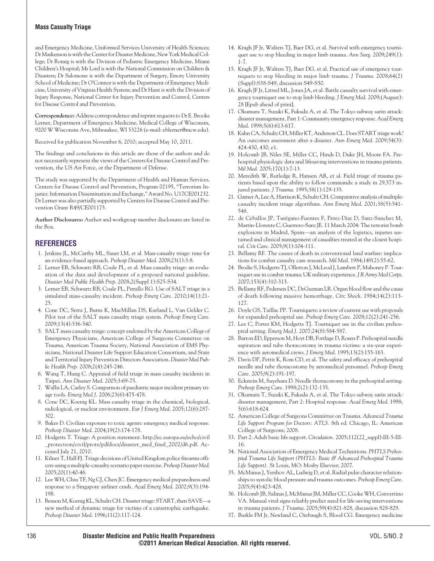#### **Mass Casualty Triage**

and Emergency Medicine, Uniformed Services University of Health Sciences; Dr Markenson is with the Center for Disaster Medicine, New York Medical College; Dr Romig is with the Division of Pediatric Emergency Medicine, Miami Children's Hospital; Mr Lord is with the National Commission on Children & Disasters; Dr Salomone is with the Department of Surgery, Emory University School of Medicine; Dr O'Connor is with the Department of Emergency Medicine, University of Virginia Health System; and Dr Hunt is with the Division of Injury Response, National Center for Injury Prevention and Control, Centers for Disease Control and Prevention.

**Correspondence:** Address correspondence and reprint requests to Dr E. Brooke Lerner, Department of Emergency Medicine, Medical College of Wisconsin, 9200 W Wisconsin Ave, Milwaukee, WI 53226 (e-mail: eblerner@mcw.edu).

Received for publication November 6, 2010; accepted May 10, 2011.

The findings and conclusions in this article are those of the authors and do not necessarily represent the views of the Centers for Disease Control and Prevention, the US Air Force, or the Department of Defense.

The study was supported by the Department of Health and Human Services, Centers for Disease Control and Prevention, Program 02195, "Terrorism Injuries: Information Dissemination and Exchange," Award No. U17CE001232. Dr Lerner was also partially supported by Centers for Disease Control and Prevention Grant R49/CE001175.

**Author Disclosures:** Author and workgroup member disclosures are listed in the Box.

#### **REFERENCES**

- 1. Jenkins JL, McCarthy ML, Sauer LM, et al. Mass-casualty triage: time for an evidence-based approach. *Prehosp Disaster Med*. 2008;23(1):3-8.
- 2. Lerner EB, Schwartz RB, Coule PL, et al. Mass casualty triage: an evaluation of the data and development of a proposed national guideline. *Disaster Med Public Health Prep*. 2008;2(Suppl 1):S25-S34.
- 3. Lerner EB, Schwartz RB, Coule PL, Pirrallo RG. Use of SALT triage in a simulated mass-casualty incident. *Prehosp Emerg Care*. 2010;14(1):21- 25.
- 4. Cone DC, Serra J, Burns K, MacMillan DS, Kurland L, Van Gelder C. Pilot test of the SALT mass casualty triage system. *Prehosp Emerg Care*. 2009;13(4):536-540.
- 5. SALT mass casualty triage: concept endorsed by the American College of Emergency Physicians, American College of Surgeons Committee on Trauma, American Trauma Society, National Association of EMS Physicians, National Disaster Life Support Education Consortium, and State and Territorial Injury Prevention Directors Association. *Disaster Med Public Health Prep*. 2008;2(4):245-246.
- 6. Wang T, Hung C. Appraisal of field triage in mass casualty incidents in Taipei. *Ann Disaster Med*. 2005;3:69-75.
- 7. Wallis LA, Carley S. Comparison of paediatric major incident primary triage tools. *Emerg Med J*. 2006;23(6):475-478.
- 8. Cone DC, Koenig KL. Mass casualty triage in the chemical, biological, radiological, or nuclear environment. *Eur J Emerg Med*. 2005;12(6):287- 302.
- 9. Baker D. Civilian exposure to toxic agents: emergency medical response. *Prehosp Disaster Med*. 2004;19(2):174-178.
- 10. Hodgetts T. Triage: A position statement. http://ec.europa.eu/echo/civil \_protection/civil/prote/pdfdocs/disaster\_med\_final\_2002/d6.pdf. Accessed July 21, 2010.
- 11. Kilner T, Hall FJ. Triage decisions of United Kingdom police firearms officers using a multiple-casualty scenario paper exercise. *Prehosp Disaster Med*. 2005;20(1):40-46.
- 12. Lee WH, Chiu TF, Ng CJ, Chen JC. Emergency medical preparedness and response to a Singapore airliner crash. *Acad Emerg Med*. 2002;9(3):194- 198.
- 13. Benson M, Koenig KL, Schultz CH. Disaster triage: START, then SAVE—a new method of dynamic triage for victims of a catastrophic earthquake. *Prehosp Disaster Med*. 1996;11(2):117-124.
- 14. Kragh JF Jr, Walters TJ, Baer DG, et al. Survival with emergency tourniquet use to stop bleeding in major limb trauma. *Ann Surg*. 2009;249(1): 1-7.
- 15. Kragh JF Jr, Walters TJ, Baer DG, et al. Practical use of emergency tourniquets to stop bleeding in major limb trauma. *J Trauma*. 2008;64(2) (Suppl):S38-S49, discussion S49-S50.
- 16. Kragh JF Jr, Littrel ML, Jones JA, et al. Battle casualty survival with emergency tourniquet use to stop limb bleeding. *J Emerg Med*. 2009;(August): 28 [Epub ahead of print].
- 17. Okumura T, Suzuki K, Fukuda A, et al. The Tokyo subway sarin attack: disaster management, Part 1: Community emergency response. *Acad Emerg Med*. 1998;5(6):613-617.
- 18. Kahn CA, Schultz CH, Miller KT, Anderson CL. Does START triage work? An outcomes assessment after a disaster. *Ann Emerg Med*. 2009;54(3): 424-430, 430, e1.
- 19. Holcomb JB, Niles SE, Miller CC, Hinds D, Duke JH, Moore FA. Prehospital physiologic data and lifesaving interventions in trauma patients. *Mil Med*. 2005;170(1):7-13.
- 20. Meredith W, Rutledge R, Hansen AR, et al. Field triage of trauma patients based upon the ability to follow commands: a study in 29,573 injured patients. *J Trauma*. 1995;38(1):129-135.
- 21. Garner A, Lee A, Harrison K, Schultz CH. Comparative analysis of multiplecasualty incident triage algorithms. *Ann Emerg Med*. 2001;38(5):541- 548.
- 22. de Ceballos JP, Turégano-Fuentes F, Perez-Diaz D, Sanz-Sanchez M, Martin-Llorente C, Guerrero-Sanz JE. 11 March 2004: The terrorist bomb explosions in Madrid, Spain—an analysis of the logistics, injuries sustained and clinical management of casualties treated at the closest hospital. *Crit Care*. 2005;9(1):104-111.
- 23. Bellamy RF. The causes of death in conventional land warfare: implications for combat casualty care research. *Mil Med*. 1984;149(2):55-62.
- 24. Brodie S, Hodgetts TJ, Ollerton J, McLeod J, Lambert P, Mahoney P. Tourniquet use in combat trauma: UK military experience. *J R Army Med Corps*. 2007;153(4):310-313.
- 25. Bellamy RF, Pedersen DC, DeGuzman LR. Organ blood flow and the cause of death following massive hemorrhage. *Circ Shock*. 1984;14(2):113- 127.
- 26. Doyle GS, Taillac PP. Tourniquets: a review of current use with proposals for expanded prehospital use. *Prehosp Emerg Care*. 2008;12(2):241-256.
- 27. Lee C, Porter KM, Hodgetts TJ. Tourniquet use in the civilian prehospital setting. *Emerg Med J*. 2007;24(8):584-587.
- 28. Barton ED, Epperson M, Hoyt DB, Fortlage D, Rosen P. Prehospital needle aspiration and tube thoracostomy in trauma victims: a six-year experience with aeromedical crews. *J Emerg Med*. 1995;13(2):155-163.
- 29. Davis DP, Pettit K, Rom CD, et al. The safety and efficacy of prehospital needle and tube thoracostomy by aeromedical personnel. *Prehosp Emerg Care*. 2005;9(2):191-197.
- 30. Eckstein M, Suyehara D. Needle thoracostomy in the prehospital setting. *Prehosp Emerg Care*. 1998;2(2):132-135.
- 31. Okumura T, Suzuki K, Fukuda A, et al. The Tokyo subway sarin attack: disaster management, Part 2: Hospital response. *Acad Emerg Med*. 1998; 5(6):618-624.
- 32. American College of Surgeons Committee on Trauma. *Advanced Trauma Life Support Program for Doctors: ATLS.* 8th ed. Chicago, IL: American College of Surgeons; 2008.
- 33. Part 2: Adult basic life support. *Circulation.* 2005;112(22\_suppl):III-5-III-16.
- 34. National Association of Emergency Medical Technitions. *PHTLS Prehospital Trauma Life Support (PHTLS: Basic & Advanced Prehospital Trauma Life Support).* St Louis, MO: Mosby Elsevier; 2007.
- 35. McManus J, Yershov AL, Ludwig D, et al. Radial pulse character relationships to systolic blood pressure and trauma outcomes. *Prehosp Emerg Care*. 2005;9(4):423-428.
- 36. Holcomb JB, Salinas J, McManus JM, Miller CC, Cooke WH, Convertino VA. Manual vital signs reliably predict need for life-saving interventions in trauma patients. *J Trauma*. 2005;59(4):821-828, discussion 828-829.
- 37. Burkle FM Jr, Newland C, Orebaugh S, Blood CG. Emergency medicine